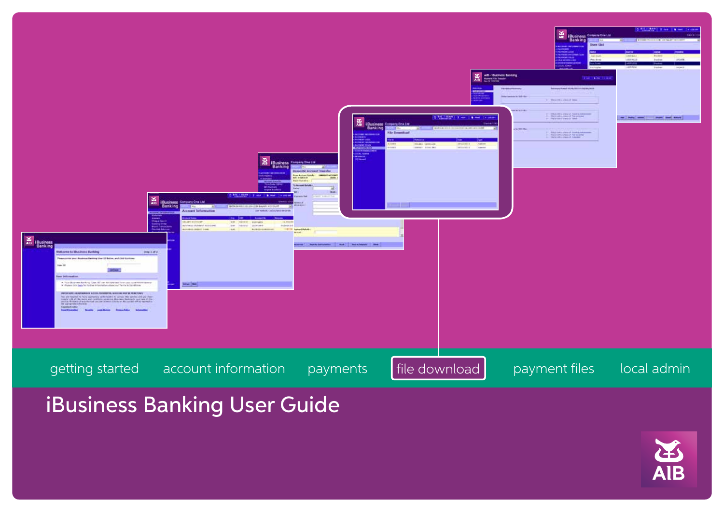

iBusiness Banking User Guide

**AIB**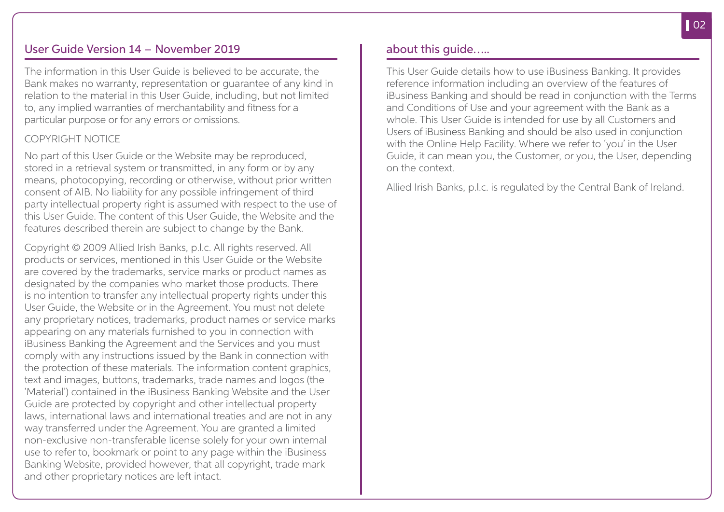### User Guide Version 14 – November 2019

The information in this User Guide is believed to be accurate, the Bank makes no warranty, representation or guarantee of any kind in relation to the material in this User Guide, including, but not limited to, any implied warranties of merchantability and fitness for a particular purpose or for any errors or omissions.

### COPYRIGHT NOTICE

No part of this User Guide or the Website may be reproduced, stored in a retrieval system or transmitted, in any form or by any means, photocopying, recording or otherwise, without prior written consent of AIB. No liability for any possible infringement of third party intellectual property right is assumed with respect to the use of this User Guide. The content of this User Guide, the Website and the features described therein are subject to change by the Bank.

Copyright © 2009 Allied Irish Banks, p.l.c. All rights reserved. All products or services, mentioned in this User Guide or the Website are covered by the trademarks, service marks or product names as designated by the companies who market those products. There is no intention to transfer any intellectual property rights under this User Guide, the Website or in the Agreement. You must not delete any proprietary notices, trademarks, product names or service marks appearing on any materials furnished to you in connection with iBusiness Banking the Agreement and the Services and you must comply with any instructions issued by the Bank in connection with the protection of these materials. The information content graphics, text and images, buttons, trademarks, trade names and logos (the 'Material') contained in the iBusiness Banking Website and the User Guide are protected by copyright and other intellectual property laws, international laws and international treaties and are not in any way transferred under the Agreement. You are granted a limited non-exclusive non-transferable license solely for your own internal use to refer to, bookmark or point to any page within the iBusiness Banking Website, provided however, that all copyright, trade mark and other proprietary notices are left intact.

### about this guide…..

This User Guide details how to use iBusiness Banking. It provides reference information including an overview of the features of iBusiness Banking and should be read in conjunction with the Terms and Conditions of Use and your agreement with the Bank as a whole. This User Guide is intended for use by all Customers and Users of iBusiness Banking and should be also used in conjunction with the Online Help Facility. Where we refer to 'you' in the User Guide, it can mean you, the Customer, or you, the User, depending on the context.

Allied Irish Banks, p.l.c. is regulated by the Central Bank of Ireland.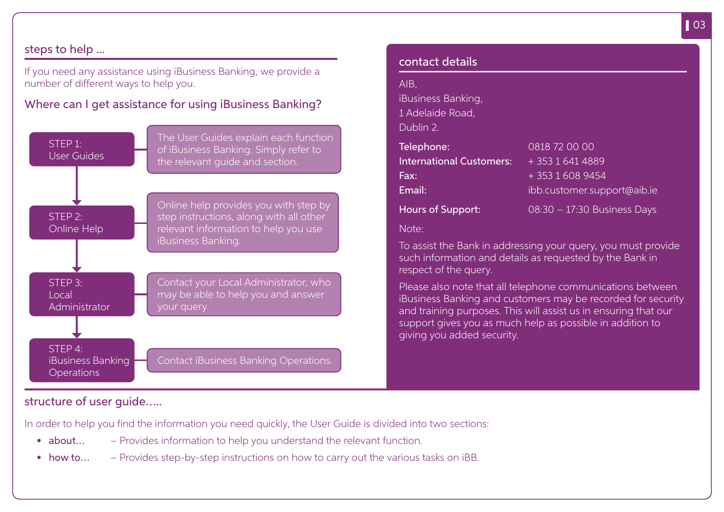### steps to help ...

If you need any assistance using iBusiness Banking, we provide a number of different ways to help you.

Where can I get assistance for using iBusiness Banking?



| AIB                             |                                                                                                                                                                                                                                                            |
|---------------------------------|------------------------------------------------------------------------------------------------------------------------------------------------------------------------------------------------------------------------------------------------------------|
| iBusiness Banking,              |                                                                                                                                                                                                                                                            |
| 1 Adelaide Road,                |                                                                                                                                                                                                                                                            |
| Dublin 2.                       |                                                                                                                                                                                                                                                            |
| Telephone:                      | 0818 72 00 00                                                                                                                                                                                                                                              |
| <b>International Customers:</b> | + 353 1 641 4889                                                                                                                                                                                                                                           |
| Fax:                            | $+35316089454$                                                                                                                                                                                                                                             |
| Email:                          | ibb.customer.support@aib.ie                                                                                                                                                                                                                                |
| <b>Hours of Support:</b>        | 08:30 - 17:30 Business Days                                                                                                                                                                                                                                |
| Note:                           |                                                                                                                                                                                                                                                            |
| respect of the query.           | To assist the Bank in addressing your query, you must provide<br>such information and details as requested by the Bank in                                                                                                                                  |
| giving you added security.      | Please also note that all telephone communications between<br>iBusiness Banking and customers may be recorded for security<br>and training purposes. This will assist us in ensuring that our<br>support gives you as much help as possible in addition to |

### structure of user guide…..

In order to help you find the information you need quickly, the User Guide is divided into two sections:

- about... Provides information to help you understand the relevant function.
- how to...  $-$  Provides step-by-step instructions on how to carry out the various tasks on iBB.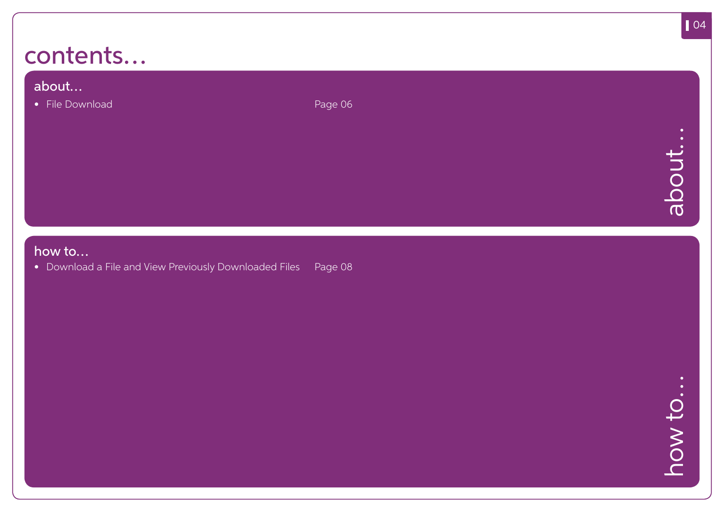## contents…

### about…

• File Download Page 06

### how to…

• Download a File and View Previously Downloaded Files Page 08

how to... how to…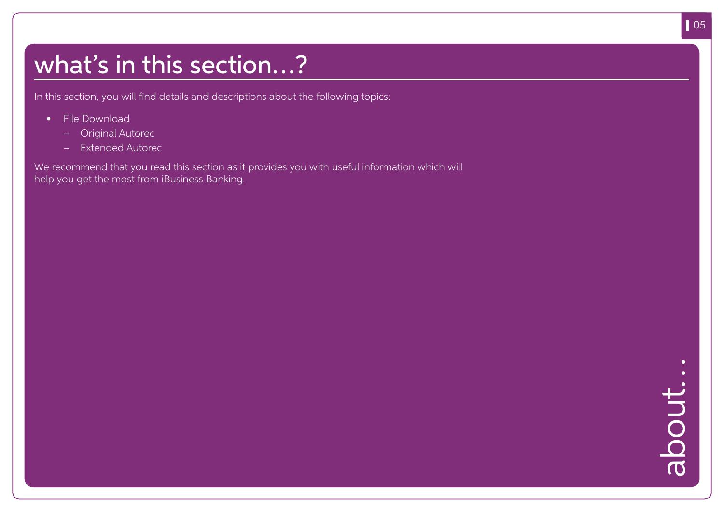## what's in this section…?

In this section, you will find details and descriptions about the following topics:

- File Download
	- Original Autorec
	- Extended Autorec

We recommend that you read this section as it provides you with useful information which will help you get the most from iBusiness Banking.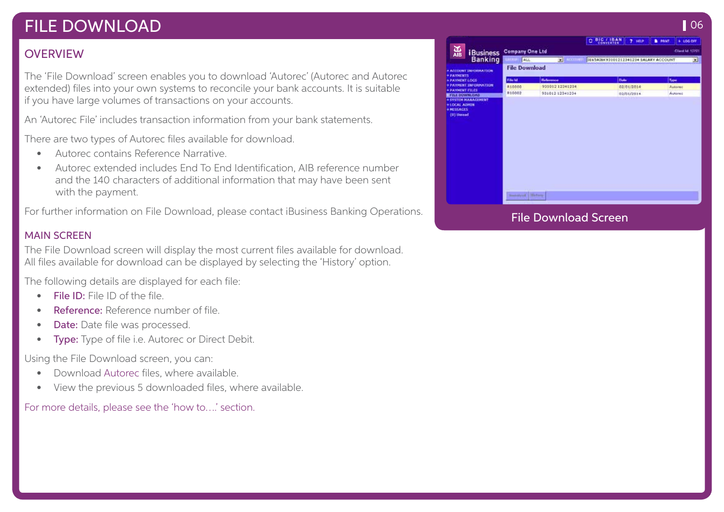## FILE DOWNLOAD

### **OVERVIEW**

The 'File Download' screen enables you to download 'Autorec' (Autorec and Autorec extended) files into your own systems to reconcile your bank accounts. It is suitable if you have large volumes of transactions on your accounts.

An 'Autorec File' includes transaction information from your bank statements.

There are two types of Autorec files available for download.

- Autorec contains Reference Narrative.
- Autorec extended includes End To End Identification, AIB reference number and the 140 characters of additional information that may have been sent with the payment.

For further information on File Download, please contact iBusiness Banking Operations.

### MAIN SCREEN

The File Download screen will display the most current files available for download. All files available for download can be displayed by selecting the 'History' option.

The following details are displayed for each file:

- **File ID:** File ID of the file
- Reference: Reference number of file
- **Date:** Date file was processed.
- **Type:** Type of file i.e. Autorec or Direct Debit.

Using the File Download screen, you can:

- Download Autorec files, where available.
- View the previous 5 downloaded files, where available.

For more details, please see the 'how to….' section.

|                                           |                       |                    | C BIC / IBAN<br>$7 - 1010$            | $+106.0H$<br><b>B</b> PRINT |
|-------------------------------------------|-----------------------|--------------------|---------------------------------------|-----------------------------|
| $\frac{1}{\text{AB}}$<br><b>iBusiness</b> | Company One Ltd       |                    | Client M 122121                       |                             |
| <b>Banking</b>                            | ALL<br>---            | <b>ST</b> Accounts | IE65AIBK93101212341234 SALARY ACCOUNT | ≖                           |
| + ACCCIONI INFORMATION<br>* PATHENTS      | <b>File Download</b>  |                    |                                       |                             |
| * PAYMENT LOCS                            | File M.               | <b>Helermon</b>    | Disks                                 | Type                        |
| + PATHENT INFORMATION                     | R10000                | 99101212341294     | 02/01/2014                            | Autoreo                     |
| + PAYMENT FILES<br><b>FILE DOWNLOAD</b>   | R10002                | 53101212341234     | 02/01/2014                            | Autorec                     |
|                                           | <b>Baseboa Birton</b> |                    |                                       |                             |
|                                           |                       |                    |                                       |                             |

**106**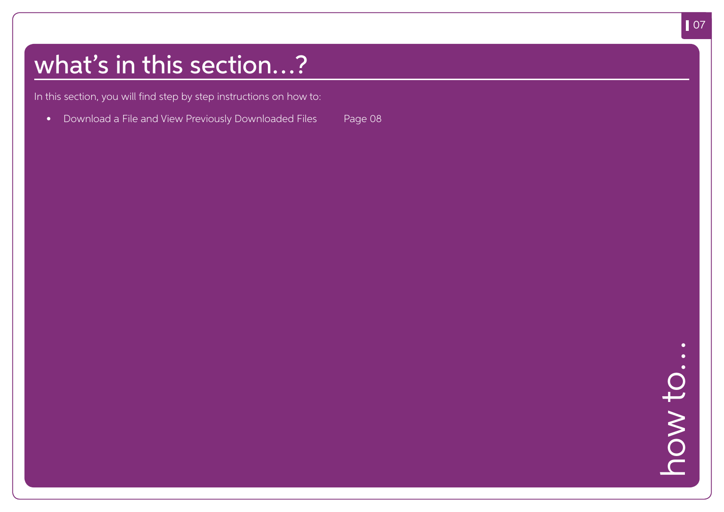# what's in this section…?

In this section, you will find step by step instructions on how to:

• Download a File and View Previously Downloaded Files Page 08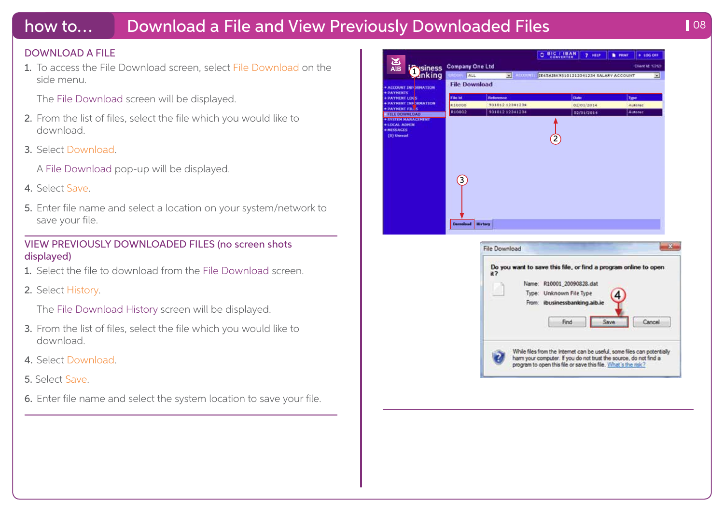## how to... Download a File and View Previously Downloaded Files **198** 108

#### DOWNLOAD A FILE

1. To access the File Download screen, select File Download on the side menu.

The File Download screen will be displayed.

- 2. From the list of files, select the file which you would like to download.
- 3. Select Download.

A File Download pop-up will be displayed.

- 4. Select Save.
- 5. Enter file name and select a location on your system/network to save your file.

### VIEW PREVIOUSLY DOWNLOADED FILES (no screen shots displayed)

- 1. Select the file to download from the File Download screen.
- 2. Select History.

The File Download History screen will be displayed.

- 3. From the list of files, select the file which you would like to download.
- 4. Select Download.
- 5. Select Save.
- 6. Enter file name and select the system location to save your file.